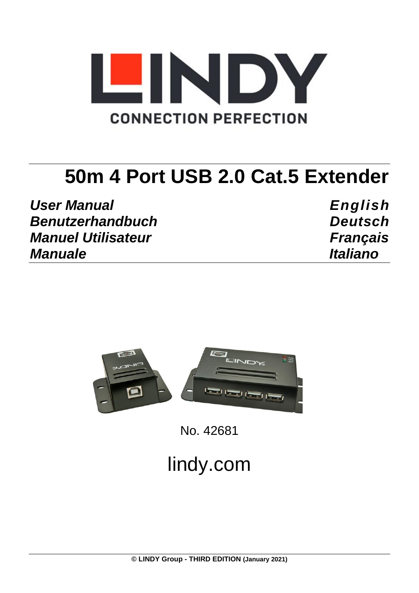

# **50m 4 Port USB 2.0 Cat.5 Extender**

*User Manual English Benutzerhandbuch Deutsch Manuel Utilisateur Français Manuale Italiano*



No. 42681

# lindy.com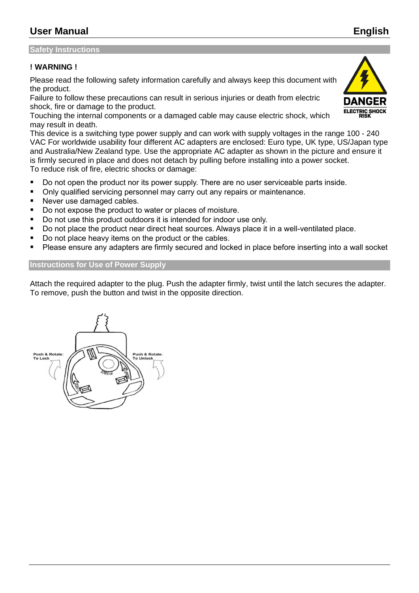# **User Manual English**

#### **Safety Instructions**

#### **! WARNING !**

Please read the following safety information carefully and always keep this document with the product.

Failure to follow these precautions can result in serious injuries or death from electric shock, fire or damage to the product.

Touching the internal components or a damaged cable may cause electric shock, which may result in death.

This device is a switching type power supply and can work with supply voltages in the range 100 - 240 VAC For worldwide usability four different AC adapters are enclosed: Euro type, UK type, US/Japan type and Australia/New Zealand type. Use the appropriate AC adapter as shown in the picture and ensure it is firmly secured in place and does not detach by pulling before installing into a power socket. To reduce risk of fire, electric shocks or damage:

- Do not open the product nor its power supply. There are no user serviceable parts inside.
- Only qualified servicing personnel may carry out any repairs or maintenance.
- Never use damaged cables.
- Do not expose the product to water or places of moisture.
- Do not use this product outdoors it is intended for indoor use only.
- Do not place the product near direct heat sources. Always place it in a well-ventilated place.
- Do not place heavy items on the product or the cables.
- Please ensure any adapters are firmly secured and locked in place before inserting into a wall socket

#### **Instructions for Use of Power Supply**

Attach the required adapter to the plug. Push the adapter firmly, twist until the latch secures the adapter. To remove, push the button and twist in the opposite direction.



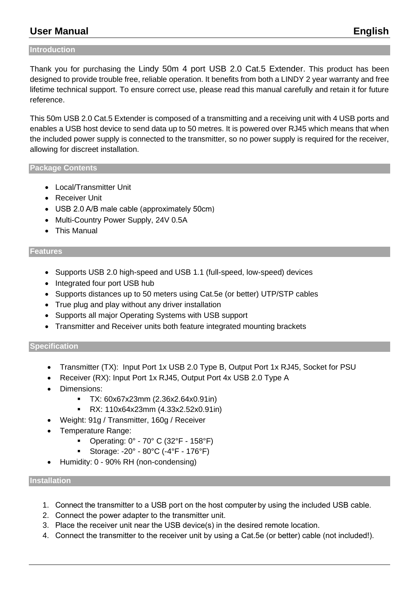# **User Manual English**

#### **Introduction**

Thank you for purchasing the Lindy 50m 4 port USB 2.0 Cat.5 Extender. This product has been designed to provide trouble free, reliable operation. It benefits from both a LINDY 2 year warranty and free lifetime technical support. To ensure correct use, please read this manual carefully and retain it for future reference.

This 50m USB 2.0 Cat.5 Extender is composed of a transmitting and a receiving unit with 4 USB ports and enables a USB host device to send data up to 50 metres. It is powered over RJ45 which means that when the included power supply is connected to the transmitter, so no power supply is required for the receiver, allowing for discreet installation.

#### **Package Contents**

- Local/Transmitter Unit
- Receiver Unit
- USB 2.0 A/B male cable (approximately 50cm)
- Multi-Country Power Supply, 24V 0.5A
- This Manual

#### **Features**

- Supports USB 2.0 high-speed and USB 1.1 (full-speed, low-speed) devices
- Integrated four port USB hub
- Supports distances up to 50 meters using Cat.5e (or better) UTP/STP cables
- True plug and play without any driver installation
- Supports all major Operating Systems with USB support
- Transmitter and Receiver units both feature integrated mounting brackets

#### **Specification**

- Transmitter (TX): Input Port 1x USB 2.0 Type B, Output Port 1x RJ45, Socket for PSU
- Receiver (RX): Input Port 1x RJ45, Output Port 4x USB 2.0 Type A
- Dimensions:
	- TX: 60x67x23mm (2.36x2.64x0.91in)
	- RX: 110x64x23mm (4.33x2.52x0.91in)
- Weight: 91g / Transmitter, 160g / Receiver
- Temperature Range:
	- Operating: 0° 70° C (32°F 158°F)
	- Storage: -20° 80°C (-4°F 176°F)
- Humidity: 0 90% RH (non-condensing)

#### **Installation**

- 1. Connect the transmitter to a USB port on the host computer by using the included USB cable.
- 2. Connect the power adapter to the transmitter unit.
- 3. Place the receiver unit near the USB device(s) in the desired remote location.
- 4. Connect the transmitter to the receiver unit by using a Cat.5e (or better) cable (not included!).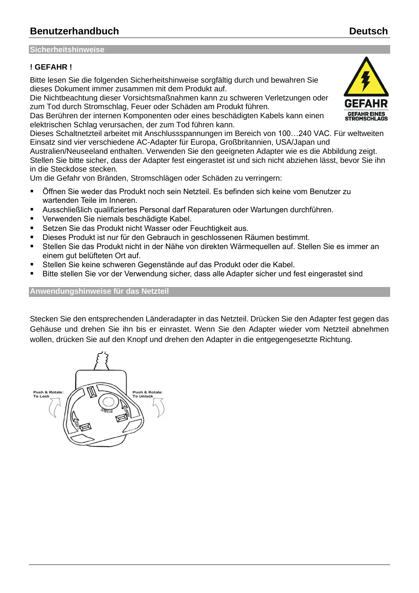# **Benutzerhandbuch Deutsch**

#### **Sicherheitshinweise**

#### **! GEFAHR !**

Bitte lesen Sie die folgenden Sicherheitshinweise sorgfältig durch und bewahren Sie dieses Dokument immer zusammen mit dem Produkt auf.

Die Nichtbeachtung dieser Vorsichtsmaßnahmen kann zu schweren Verletzungen oder zum Tod durch Stromschlag, Feuer oder Schäden am Produkt führen.

Das Berühren der internen Komponenten oder eines beschädigten Kabels kann einen elektrischen Schlag verursachen, der zum Tod führen kann.

Dieses Schaltnetzteil arbeitet mit Anschlussspannungen im Bereich von 100…240 VAC. Für weltweiten Einsatz sind vier verschiedene AC-Adapter für Europa, Großbritannien, USA/Japan und

Australien/Neuseeland enthalten. Verwenden Sie den geeigneten Adapter wie es die Abbildung zeigt. Stellen Sie bitte sicher, dass der Adapter fest eingerastet ist und sich nicht abziehen lässt, bevor Sie ihn in die Steckdose stecken.

Um die Gefahr von Bränden, Stromschlägen oder Schäden zu verringern:

- Öffnen Sie weder das Produkt noch sein Netzteil. Es befinden sich keine vom Benutzer zu wartenden Teile im Inneren.
- Ausschließlich qualifiziertes Personal darf Reparaturen oder Wartungen durchführen.
- Verwenden Sie niemals beschädigte Kabel.
- Setzen Sie das Produkt nicht Wasser oder Feuchtigkeit aus.
- Dieses Produkt ist nur für den Gebrauch in geschlossenen Räumen bestimmt.
- Stellen Sie das Produkt nicht in der Nähe von direkten Wärmequellen auf. Stellen Sie es immer an einem gut belüfteten Ort auf.
- Stellen Sie keine schweren Gegenstände auf das Produkt oder die Kabel.
- Bitte stellen Sie vor der Verwendung sicher, dass alle Adapter sicher und fest eingerastet sind

#### **Anwendungshinweise für das Netzteil**

Stecken Sie den entsprechenden Länderadapter in das Netzteil. Drücken Sie den Adapter fest gegen das Gehäuse und drehen Sie ihn bis er einrastet. Wenn Sie den Adapter wieder vom Netzteil abnehmen wollen, drücken Sie auf den Knopf und drehen den Adapter in die entgegengesetzte Richtung.



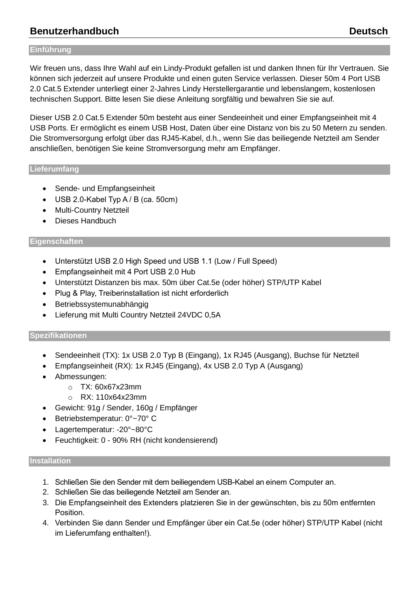# **Benutzerhandbuch Deutsch**

#### **Einführung**

Wir freuen uns, dass Ihre Wahl auf ein Lindy-Produkt gefallen ist und danken Ihnen für Ihr Vertrauen. Sie können sich jederzeit auf unsere Produkte und einen guten Service verlassen. Dieser 50m 4 Port USB 2.0 Cat.5 Extender unterliegt einer 2-Jahres Lindy Herstellergarantie und lebenslangem, kostenlosen technischen Support. Bitte lesen Sie diese Anleitung sorgfältig und bewahren Sie sie auf.

Dieser USB 2.0 Cat.5 Extender 50m besteht aus einer Sendeeinheit und einer Empfangseinheit mit 4 USB Ports. Er ermöglicht es einem USB Host, Daten über eine Distanz von bis zu 50 Metern zu senden. Die Stromversorgung erfolgt über das RJ45-Kabel, d.h., wenn Sie das beiliegende Netzteil am Sender anschließen, benötigen Sie keine Stromversorgung mehr am Empfänger.

#### **Lieferumfang**

- Sende- und Empfangseinheit
- USB 2.0-Kabel Typ A / B (ca. 50cm)
- Multi-Country Netzteil
- Dieses Handbuch

#### **Eigenschaften**

- Unterstützt USB 2.0 High Speed und USB 1.1 (Low / Full Speed)
- Empfangseinheit mit 4 Port USB 2.0 Hub
- Unterstützt Distanzen bis max. 50m über Cat.5e (oder höher) STP/UTP Kabel
- Plug & Play, Treiberinstallation ist nicht erforderlich
- Betriebssystemunabhängig
- Lieferung mit Multi Country Netzteil 24VDC 0,5A

#### **Spezifikationen**

- Sendeeinheit (TX): 1x USB 2.0 Typ B (Eingang), 1x RJ45 (Ausgang), Buchse für Netzteil
- Empfangseinheit (RX): 1x RJ45 (Eingang), 4x USB 2.0 Typ A (Ausgang)
- Abmessungen:
	- o TX: 60x67x23mm
	- o RX: 110x64x23mm
- Gewicht: 91g / Sender, 160g / Empfänger
- Betriebstemperatur: 0°~70° C
- Lagertemperatur: -20°~80°C
- Feuchtigkeit: 0 90% RH (nicht kondensierend)

#### **Installation**

- 1. Schließen Sie den Sender mit dem beiliegendem USB-Kabel an einem Computer an.
- 2. Schließen Sie das beiliegende Netzteil am Sender an.
- 3. Die Empfangseinheit des Extenders platzieren Sie in der gewünschten, bis zu 50m entfernten Position.
- 4. Verbinden Sie dann Sender und Empfänger über ein Cat.5e (oder höher) STP/UTP Kabel (nicht im Lieferumfang enthalten!).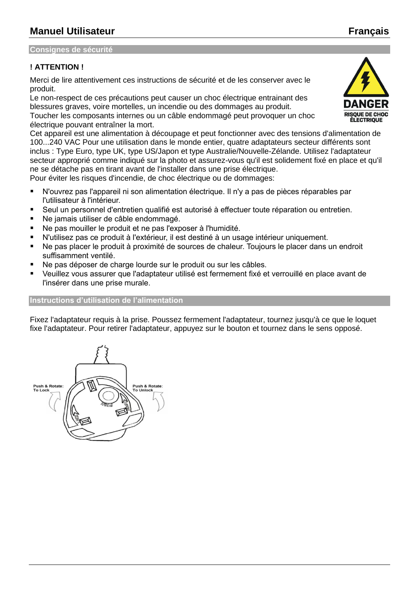#### **Consignes de sécurité**

#### **! ATTENTION !**

Merci de lire attentivement ces instructions de sécurité et de les conserver avec le produit.

Le non-respect de ces précautions peut causer un choc électrique entrainant des blessures graves, voire mortelles, un incendie ou des dommages au produit. Toucher les composants internes ou un câble endommagé peut provoquer un choc électrique pouvant entraîner la mort.

Cet appareil est une alimentation à découpage et peut fonctionner avec des tensions d'alimentation de 100...240 VAC Pour une utilisation dans le monde entier, quatre adaptateurs secteur différents sont inclus : Type Euro, type UK, type US/Japon et type Australie/Nouvelle-Zélande. Utilisez l'adaptateur secteur approprié comme indiqué sur la photo et assurez-vous qu'il est solidement fixé en place et qu'il ne se détache pas en tirant avant de l'installer dans une prise électrique.

Pour éviter les risques d'incendie, de choc électrique ou de dommages:

- N'ouvrez pas l'appareil ni son alimentation électrique. Il n'y a pas de pièces réparables par l'utilisateur à l'intérieur.
- Seul un personnel d'entretien qualifié est autorisé à effectuer toute réparation ou entretien.
- Ne jamais utiliser de câble endommagé.
- Ne pas mouiller le produit et ne pas l'exposer à l'humidité.
- N'utilisez pas ce produit à l'extérieur, il est destiné à un usage intérieur uniquement.
- Ne pas placer le produit à proximité de sources de chaleur. Toujours le placer dans un endroit suffisamment ventilé.
- Ne pas déposer de charge lourde sur le produit ou sur les câbles.
- Veuillez vous assurer que l'adaptateur utilisé est fermement fixé et verrouillé en place avant de l'insérer dans une prise murale.

#### **Instructions d'utilisation de l'alimentation**

Fixez l'adaptateur requis à la prise. Poussez fermement l'adaptateur, tournez jusqu'à ce que le loquet fixe l'adaptateur. Pour retirer l'adaptateur, appuyez sur le bouton et tournez dans le sens opposé.

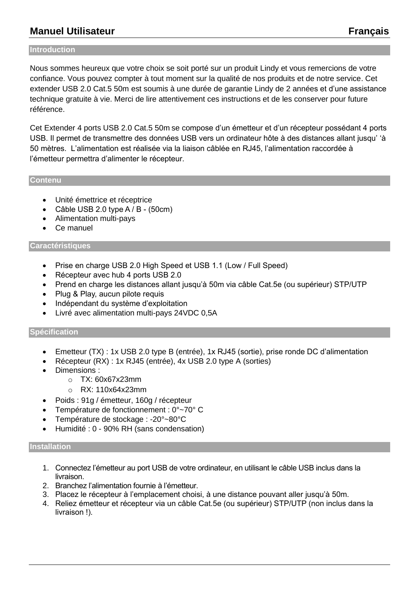# **Manuel Utilisateur Français**

#### **Introduction**

Nous sommes heureux que votre choix se soit porté sur un produit Lindy et vous remercions de votre confiance. Vous pouvez compter à tout moment sur la qualité de nos produits et de notre service. Cet extender USB 2.0 Cat.5 50m est soumis à une durée de garantie Lindy de 2 années et d'une assistance technique gratuite à vie. Merci de lire attentivement ces instructions et de les conserver pour future référence.

Cet Extender 4 ports USB 2.0 Cat.5 50m se compose d'un émetteur et d'un récepteur possédant 4 ports USB. Il permet de transmettre des données USB vers un ordinateur hôte à des distances allant jusqu' 'à 50 mètres. L'alimentation est réalisée via la liaison câblée en RJ45, l'alimentation raccordée à l'émetteur permettra d'alimenter le récepteur.

#### **Contenu**

- Unité émettrice et réceptrice
- Câble USB 2.0 type A / B (50cm)
- Alimentation multi-pays
- Ce manuel

#### **Caractéristiques**

- Prise en charge USB 2.0 High Speed et USB 1.1 (Low / Full Speed)
- Récepteur avec hub 4 ports USB 2.0
- Prend en charge les distances allant jusqu'à 50m via câble Cat.5e (ou supérieur) STP/UTP
- Plug & Play, aucun pilote requis
- Indépendant du système d'exploitation
- Livré avec alimentation multi-pays 24VDC 0,5A

#### **Spécification**

- Emetteur (TX) : 1x USB 2.0 type B (entrée), 1x RJ45 (sortie), prise ronde DC d'alimentation
- Récepteur (RX) : 1x RJ45 (entrée), 4x USB 2.0 type A (sorties)
- Dimensions :
	- o TX: 60x67x23mm
	- o RX: 110x64x23mm
- Poids : 91g / émetteur, 160g / récepteur
- Température de fonctionnement : 0°~70° C
- Température de stockage : -20°~80°C
- Humidité : 0 90% RH (sans condensation)

#### **Installation**

- 1. Connectez l'émetteur au port USB de votre ordinateur, en utilisant le câble USB inclus dans la livraison.
- 2. Branchez l'alimentation fournie à l'émetteur.
- 3. Placez le récepteur à l'emplacement choisi, à une distance pouvant aller jusqu'à 50m.
- 4. Reliez émetteur et récepteur via un câble Cat.5e (ou supérieur) STP/UTP (non inclus dans la livraison !).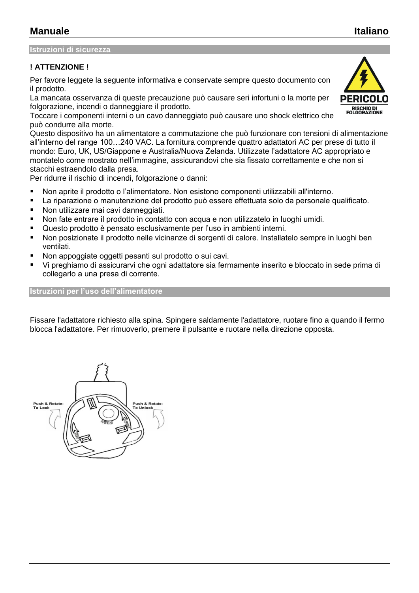#### **Istruzioni di sicurezza**

#### **! ATTENZIONE !**

Per favore leggete la seguente informativa e conservate sempre questo documento con il prodotto.

La mancata osservanza di queste precauzione può causare seri infortuni o la morte per folgorazione, incendi o danneggiare il prodotto.

Toccare i componenti interni o un cavo danneggiato può causare uno shock elettrico che può condurre alla morte.

Questo dispositivo ha un alimentatore a commutazione che può funzionare con tensioni di alimentazione all'interno del range 100…240 VAC. La fornitura comprende quattro adattatori AC per prese di tutto il mondo: Euro, UK, US/Giappone e Australia/Nuova Zelanda. Utilizzate l'adattatore AC appropriato e montatelo come mostrato nell'immagine, assicurandovi che sia fissato correttamente e che non si stacchi estraendolo dalla presa.

Per ridurre il rischio di incendi, folgorazione o danni:

- Non aprite il prodotto o l'alimentatore. Non esistono componenti utilizzabili all'interno.
- La riparazione o manutenzione del prodotto può essere effettuata solo da personale qualificato.
- Non utilizzare mai cavi danneggiati.
- Non fate entrare il prodotto in contatto con acqua e non utilizzatelo in luoghi umidi.
- Questo prodotto è pensato esclusivamente per l'uso in ambienti interni.
- Non posizionate il prodotto nelle vicinanze di sorgenti di calore. Installatelo sempre in luoghi ben ventilati.
- Non appoggiate oggetti pesanti sul prodotto o sui cavi.
- Vi preghiamo di assicurarvi che ogni adattatore sia fermamente inserito e bloccato in sede prima di collegarlo a una presa di corrente.

#### **Istruzioni per l'uso dell'alimentatore**

Fissare l'adattatore richiesto alla spina. Spingere saldamente l'adattatore, ruotare fino a quando il fermo blocca l'adattatore. Per rimuoverlo, premere il pulsante e ruotare nella direzione opposta.



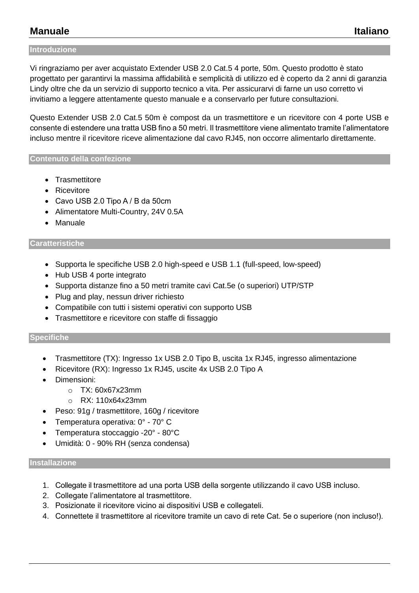# **Manuale Italiano**

#### **Introduzione**

Vi ringraziamo per aver acquistato Extender USB 2.0 Cat.5 4 porte, 50m. Questo prodotto è stato progettato per garantirvi la massima affidabilità e semplicità di utilizzo ed è coperto da 2 anni di garanzia Lindy oltre che da un servizio di supporto tecnico a vita. Per assicurarvi di farne un uso corretto vi invitiamo a leggere attentamente questo manuale e a conservarlo per future consultazioni.

Questo Extender USB 2.0 Cat.5 50m è compost da un trasmettitore e un ricevitore con 4 porte USB e consente di estendere una tratta USB fino a 50 metri. Il trasmettitore viene alimentato tramite l'alimentatore incluso mentre il ricevitore riceve alimentazione dal cavo RJ45, non occorre alimentarlo direttamente.

#### **Contenuto della confezione**

- Trasmettitore
- Ricevitore
- Cavo USB 2.0 Tipo A / B da 50cm
- Alimentatore Multi-Country, 24V 0.5A
- Manuale

#### **Caratteristiche**

- Supporta le specifiche USB 2.0 high-speed e USB 1.1 (full-speed, low-speed)
- Hub USB 4 porte integrato
- Supporta distanze fino a 50 metri tramite cavi Cat.5e (o superiori) UTP/STP
- Plug and play, nessun driver richiesto
- Compatibile con tutti i sistemi operativi con supporto USB
- Trasmettitore e ricevitore con staffe di fissaggio

#### **Specifiche**

- Trasmettitore (TX): Ingresso 1x USB 2.0 Tipo B, uscita 1x RJ45, ingresso alimentazione
- Ricevitore (RX): Ingresso 1x RJ45, uscite 4x USB 2.0 Tipo A
- Dimensioni:
	- o TX: 60x67x23mm
	- o RX: 110x64x23mm
- Peso: 91g / trasmettitore, 160g / ricevitore
- Temperatura operativa: 0° 70° C
- Temperatura stoccaggio -20° 80°C
- Umidità: 0 90% RH (senza condensa)

#### **Installazione**

- 1. Collegate il trasmettitore ad una porta USB della sorgente utilizzando il cavo USB incluso.
- 2. Collegate l'alimentatore al trasmettitore.
- 3. Posizionate il ricevitore vicino ai dispositivi USB e collegateli.
- 4. Connettete il trasmettitore al ricevitore tramite un cavo di rete Cat. 5e o superiore (non incluso!).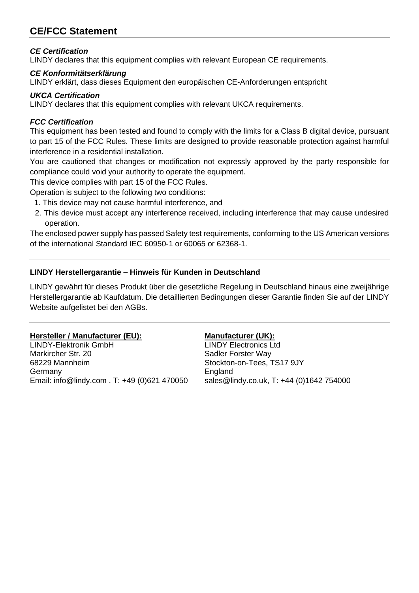# **CE/FCC Statement**

### *CE Certification*

LINDY declares that this equipment complies with relevant European CE requirements.

#### *CE Konformitätserklärung*

LINDY erklärt, dass dieses Equipment den europäischen CE-Anforderungen entspricht

### *UKCA Certification*

LINDY declares that this equipment complies with relevant UKCA requirements.

#### *FCC Certification*

This equipment has been tested and found to comply with the limits for a Class B digital device, pursuant to part 15 of the FCC Rules. These limits are designed to provide reasonable protection against harmful interference in a residential installation.

You are cautioned that changes or modification not expressly approved by the party responsible for compliance could void your authority to operate the equipment.

This device complies with part 15 of the FCC Rules.

Operation is subject to the following two conditions:

- 1. This device may not cause harmful interference, and
- 2. This device must accept any interference received, including interference that may cause undesired operation.

The enclosed power supply has passed Safety test requirements, conforming to the US American versions of the international Standard IEC 60950-1 or 60065 or 62368-1.

### **LINDY Herstellergarantie – Hinweis für Kunden in Deutschland**

LINDY gewährt für dieses Produkt über die gesetzliche Regelung in Deutschland hinaus eine zweijährige Herstellergarantie ab Kaufdatum. Die detaillierten Bedingungen dieser Garantie finden Sie auf der LINDY Website aufgelistet bei den AGBs.

### **Hersteller / Manufacturer (EU): Manufacturer (UK):**

LINDY-Elektronik GmbH LINDY Electronics Ltd Markircher Str. 20 Sadler Forster Way 68229 Mannheim Stockton-on-Tees, TS17 9JY Germany **England** Email: info@lindy.com , T: +49 (0)621 470050 sales@lindy.co.uk, T: +44 (0)1642 754000